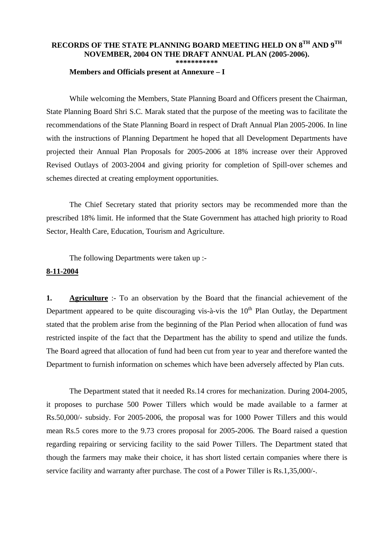## **RECORDS OF THE STATE PLANNING BOARD MEETING HELD ON 8TH AND 9TH NOVEMBER, 2004 ON THE DRAFT ANNUAL PLAN (2005-2006). \*\*\*\*\*\*\*\*\*\*\***

 **Members and Officials present at Annexure – I** 

 While welcoming the Members, State Planning Board and Officers present the Chairman, State Planning Board Shri S.C. Marak stated that the purpose of the meeting was to facilitate the recommendations of the State Planning Board in respect of Draft Annual Plan 2005-2006. In line with the instructions of Planning Department he hoped that all Development Departments have projected their Annual Plan Proposals for 2005-2006 at 18% increase over their Approved Revised Outlays of 2003-2004 and giving priority for completion of Spill-over schemes and schemes directed at creating employment opportunities.

 The Chief Secretary stated that priority sectors may be recommended more than the prescribed 18% limit. He informed that the State Government has attached high priority to Road Sector, Health Care, Education, Tourism and Agriculture.

The following Departments were taken up :-

## **8-11-2004**

**1. Agriculture** :- To an observation by the Board that the financial achievement of the Department appeared to be quite discouraging vis- $\hat{a}$ -vis the 10<sup>th</sup> Plan Outlay, the Department stated that the problem arise from the beginning of the Plan Period when allocation of fund was restricted inspite of the fact that the Department has the ability to spend and utilize the funds. The Board agreed that allocation of fund had been cut from year to year and therefore wanted the Department to furnish information on schemes which have been adversely affected by Plan cuts.

 The Department stated that it needed Rs.14 crores for mechanization. During 2004-2005, it proposes to purchase 500 Power Tillers which would be made available to a farmer at Rs.50,000/- subsidy. For 2005-2006, the proposal was for 1000 Power Tillers and this would mean Rs.5 cores more to the 9.73 crores proposal for 2005-2006. The Board raised a question regarding repairing or servicing facility to the said Power Tillers. The Department stated that though the farmers may make their choice, it has short listed certain companies where there is service facility and warranty after purchase. The cost of a Power Tiller is Rs.1,35,000/-.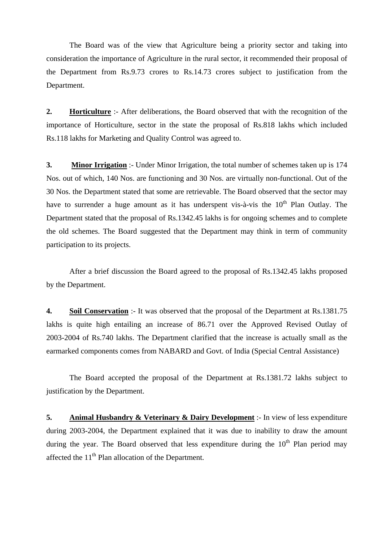The Board was of the view that Agriculture being a priority sector and taking into consideration the importance of Agriculture in the rural sector, it recommended their proposal of the Department from Rs.9.73 crores to Rs.14.73 crores subject to justification from the Department.

**2. Horticulture** :- After deliberations, the Board observed that with the recognition of the importance of Horticulture, sector in the state the proposal of Rs.818 lakhs which included Rs.118 lakhs for Marketing and Quality Control was agreed to.

**3. Minor Irrigation** :- Under Minor Irrigation, the total number of schemes taken up is 174 Nos. out of which, 140 Nos. are functioning and 30 Nos. are virtually non-functional. Out of the 30 Nos. the Department stated that some are retrievable. The Board observed that the sector may have to surrender a huge amount as it has underspent vis-à-vis the  $10<sup>th</sup>$  Plan Outlay. The Department stated that the proposal of Rs.1342.45 lakhs is for ongoing schemes and to complete the old schemes. The Board suggested that the Department may think in term of community participation to its projects.

 After a brief discussion the Board agreed to the proposal of Rs.1342.45 lakhs proposed by the Department.

**4. Soil Conservation** :- It was observed that the proposal of the Department at Rs.1381.75 lakhs is quite high entailing an increase of 86.71 over the Approved Revised Outlay of 2003-2004 of Rs.740 lakhs. The Department clarified that the increase is actually small as the earmarked components comes from NABARD and Govt. of India (Special Central Assistance)

The Board accepted the proposal of the Department at Rs.1381.72 lakhs subject to justification by the Department.

**5. Animal Husbandry & Veterinary & Dairy Development** :- In view of less expenditure during 2003-2004, the Department explained that it was due to inability to draw the amount during the year. The Board observed that less expenditure during the  $10<sup>th</sup>$  Plan period may affected the 11<sup>th</sup> Plan allocation of the Department.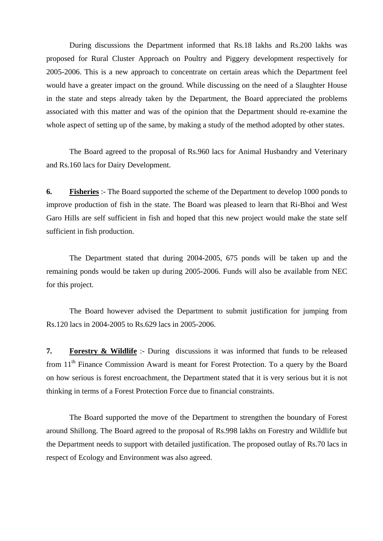During discussions the Department informed that Rs.18 lakhs and Rs.200 lakhs was proposed for Rural Cluster Approach on Poultry and Piggery development respectively for 2005-2006. This is a new approach to concentrate on certain areas which the Department feel would have a greater impact on the ground. While discussing on the need of a Slaughter House in the state and steps already taken by the Department, the Board appreciated the problems associated with this matter and was of the opinion that the Department should re-examine the whole aspect of setting up of the same, by making a study of the method adopted by other states.

 The Board agreed to the proposal of Rs.960 lacs for Animal Husbandry and Veterinary and Rs.160 lacs for Dairy Development.

**6. Fisheries** :- The Board supported the scheme of the Department to develop 1000 ponds to improve production of fish in the state. The Board was pleased to learn that Ri-Bhoi and West Garo Hills are self sufficient in fish and hoped that this new project would make the state self sufficient in fish production.

 The Department stated that during 2004-2005, 675 ponds will be taken up and the remaining ponds would be taken up during 2005-2006. Funds will also be available from NEC for this project.

 The Board however advised the Department to submit justification for jumping from Rs.120 lacs in 2004-2005 to Rs.629 lacs in 2005-2006.

**7. Forestry & Wildlife** :- During discussions it was informed that funds to be released from 11<sup>th</sup> Finance Commission Award is meant for Forest Protection. To a query by the Board on how serious is forest encroachment, the Department stated that it is very serious but it is not thinking in terms of a Forest Protection Force due to financial constraints.

 The Board supported the move of the Department to strengthen the boundary of Forest around Shillong. The Board agreed to the proposal of Rs.998 lakhs on Forestry and Wildlife but the Department needs to support with detailed justification. The proposed outlay of Rs.70 lacs in respect of Ecology and Environment was also agreed.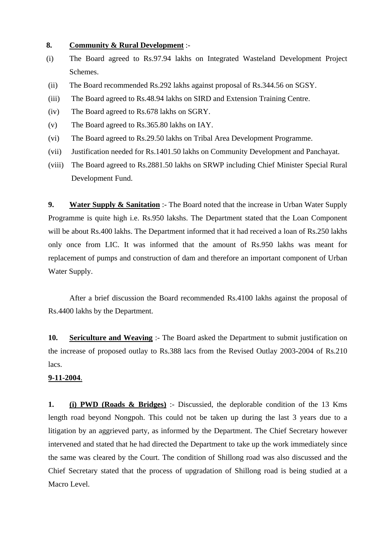## **8. Community & Rural Development** :-

- (i) The Board agreed to Rs.97.94 lakhs on Integrated Wasteland Development Project Schemes.
- (ii) The Board recommended Rs.292 lakhs against proposal of Rs.344.56 on SGSY.
- (iii) The Board agreed to Rs.48.94 lakhs on SIRD and Extension Training Centre.
- (iv) The Board agreed to Rs.678 lakhs on SGRY.
- (v) The Board agreed to Rs.365.80 lakhs on IAY.
- (vi) The Board agreed to Rs.29.50 lakhs on Tribal Area Development Programme.
- (vii) Justification needed for Rs.1401.50 lakhs on Community Development and Panchayat.
- (viii) The Board agreed to Rs.2881.50 lakhs on SRWP including Chief Minister Special Rural Development Fund.

**9. Water Supply & Sanitation** :- The Board noted that the increase in Urban Water Supply Programme is quite high i.e. Rs.950 lakshs. The Department stated that the Loan Component will be about Rs.400 lakhs. The Department informed that it had received a loan of Rs.250 lakhs only once from LIC. It was informed that the amount of Rs.950 lakhs was meant for replacement of pumps and construction of dam and therefore an important component of Urban Water Supply.

 After a brief discussion the Board recommended Rs.4100 lakhs against the proposal of Rs.4400 lakhs by the Department.

**10. Sericulture and Weaving** :- The Board asked the Department to submit justification on the increase of proposed outlay to Rs.388 lacs from the Revised Outlay 2003-2004 of Rs.210 lacs.

## **9-11-2004**.

**1. (i) PWD (Roads & Bridges)** :- Discussied, the deplorable condition of the 13 Kms length road beyond Nongpoh. This could not be taken up during the last 3 years due to a litigation by an aggrieved party, as informed by the Department. The Chief Secretary however intervened and stated that he had directed the Department to take up the work immediately since the same was cleared by the Court. The condition of Shillong road was also discussed and the Chief Secretary stated that the process of upgradation of Shillong road is being studied at a Macro Level.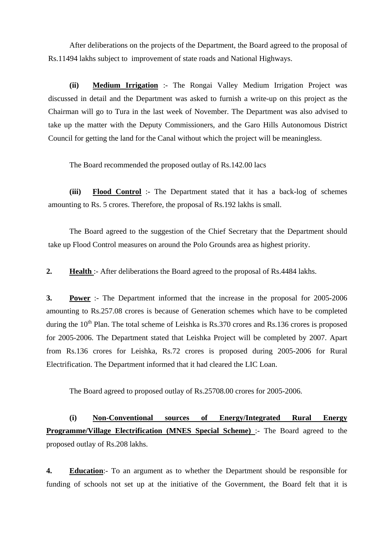After deliberations on the projects of the Department, the Board agreed to the proposal of Rs.11494 lakhs subject to improvement of state roads and National Highways.

**(ii) Medium Irrigation** :- The Rongai Valley Medium Irrigation Project was discussed in detail and the Department was asked to furnish a write-up on this project as the Chairman will go to Tura in the last week of November. The Department was also advised to take up the matter with the Deputy Commissioners, and the Garo Hills Autonomous District Council for getting the land for the Canal without which the project will be meaningless.

The Board recommended the proposed outlay of Rs.142.00 lacs

**(iii) Flood Control** :- The Department stated that it has a back-log of schemes amounting to Rs. 5 crores. Therefore, the proposal of Rs.192 lakhs is small.

 The Board agreed to the suggestion of the Chief Secretary that the Department should take up Flood Control measures on around the Polo Grounds area as highest priority.

**2. Health** :- After deliberations the Board agreed to the proposal of Rs.4484 lakhs.

**3. Power** :- The Department informed that the increase in the proposal for 2005-2006 amounting to Rs.257.08 crores is because of Generation schemes which have to be completed during the  $10^{th}$  Plan. The total scheme of Leishka is Rs.370 crores and Rs.136 crores is proposed for 2005-2006. The Department stated that Leishka Project will be completed by 2007. Apart from Rs.136 crores for Leishka, Rs.72 crores is proposed during 2005-2006 for Rural Electrification. The Department informed that it had cleared the LIC Loan.

The Board agreed to proposed outlay of Rs.25708.00 crores for 2005-2006.

**(i) Non-Conventional sources of Energy/Integrated Rural Energy Programme/Village Electrification (MNES Special Scheme)** :- The Board agreed to the proposed outlay of Rs.208 lakhs.

**4. Education**:- To an argument as to whether the Department should be responsible for funding of schools not set up at the initiative of the Government, the Board felt that it is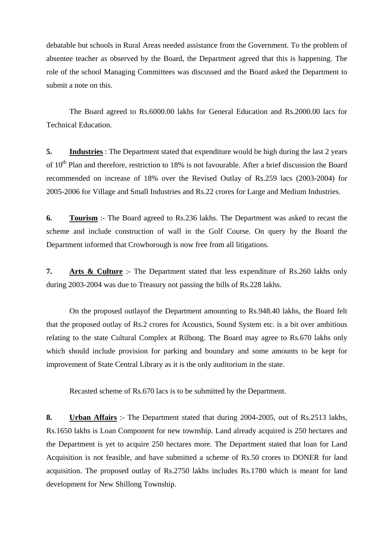debatable but schools in Rural Areas needed assistance from the Government. To the problem of absentee teacher as observed by the Board, the Department agreed that this is happening. The role of the school Managing Committees was discussed and the Board asked the Department to submit a note on this.

 The Board agreed to Rs.6000.00 lakhs for General Education and Rs.2000.00 lacs for Technical Education.

**5. Industries** : The Department stated that expenditure would be high during the last 2 years of 10<sup>th</sup> Plan and therefore, restriction to 18% is not favourable. After a brief discussion the Board recommended on increase of 18% over the Revised Outlay of Rs.259 lacs (2003-2004) for 2005-2006 for Village and Small Industries and Rs.22 crores for Large and Medium Industries.

**6. Tourism** :- The Board agreed to Rs.236 lakhs. The Department was asked to recast the scheme and include construction of wall in the Golf Course. On query by the Board the Department informed that Crowborough is now free from all litigations.

**7. Arts & Culture** :- The Department stated that less expenditure of Rs.260 lakhs only during 2003-2004 was due to Treasury not passing the bills of Rs.228 lakhs.

 On the proposed outlayof the Department amounting to Rs.948.40 lakhs, the Board felt that the proposed outlay of Rs.2 crores for Acoustics, Sound System etc. is a bit over ambitious relating to the state Cultural Complex at Rilbong. The Board may agree to Rs.670 lakhs only which should include provision for parking and boundary and some amounts to be kept for improvement of State Central Library as it is the only auditorium in the state.

Recasted scheme of Rs.670 lacs is to be submitted by the Department.

**8. Urban Affairs** :- The Department stated that during 2004-2005, out of Rs.2513 lakhs, Rs.1650 lakhs is Loan Component for new township. Land already acquired is 250 hectares and the Department is yet to acquire 250 hectares more. The Department stated that loan for Land Acquisition is not feasible, and have submitted a scheme of Rs.50 crores to DONER for land acquisition. The proposed outlay of Rs.2750 lakhs includes Rs.1780 which is meant for land development for New Shillong Township.